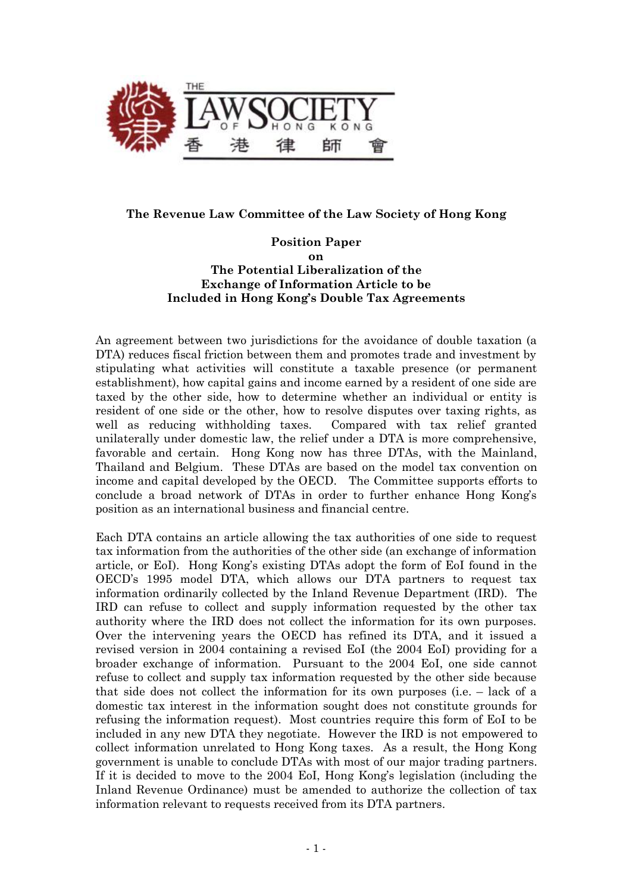

## **The Revenue Law Committee of the Law Society of Hong Kong**

**Position Paper on The Potential Liberalization of the Exchange of Information Article to be Included in Hong Kong's Double Tax Agreements** 

An agreement between two jurisdictions for the avoidance of double taxation (a DTA) reduces fiscal friction between them and promotes trade and investment by stipulating what activities will constitute a taxable presence (or permanent establishment), how capital gains and income earned by a resident of one side are taxed by the other side, how to determine whether an individual or entity is resident of one side or the other, how to resolve disputes over taxing rights, as well as reducing withholding taxes. Compared with tax relief granted unilaterally under domestic law, the relief under a DTA is more comprehensive, favorable and certain. Hong Kong now has three DTAs, with the Mainland, Thailand and Belgium. These DTAs are based on the model tax convention on income and capital developed by the OECD. The Committee supports efforts to conclude a broad network of DTAs in order to further enhance Hong Kong's position as an international business and financial centre.

Each DTA contains an article allowing the tax authorities of one side to request tax information from the authorities of the other side (an exchange of information article, or EoI). Hong Kong's existing DTAs adopt the form of EoI found in the OECD's 1995 model DTA, which allows our DTA partners to request tax information ordinarily collected by the Inland Revenue Department (IRD). The IRD can refuse to collect and supply information requested by the other tax authority where the IRD does not collect the information for its own purposes. Over the intervening years the OECD has refined its DTA, and it issued a revised version in 2004 containing a revised EoI (the 2004 EoI) providing for a broader exchange of information. Pursuant to the 2004 EoI, one side cannot refuse to collect and supply tax information requested by the other side because that side does not collect the information for its own purposes (i.e. – lack of a domestic tax interest in the information sought does not constitute grounds for refusing the information request). Most countries require this form of EoI to be included in any new DTA they negotiate. However the IRD is not empowered to collect information unrelated to Hong Kong taxes. As a result, the Hong Kong government is unable to conclude DTAs with most of our major trading partners. If it is decided to move to the 2004 EoI, Hong Kong's legislation (including the Inland Revenue Ordinance) must be amended to authorize the collection of tax information relevant to requests received from its DTA partners.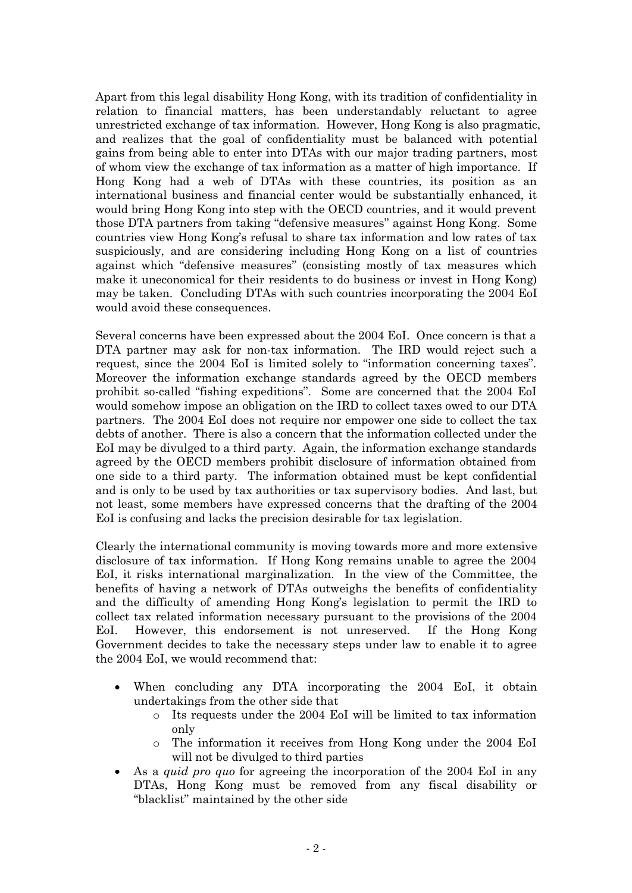Apart from this legal disability Hong Kong, with its tradition of confidentiality in relation to financial matters, has been understandably reluctant to agree unrestricted exchange of tax information. However, Hong Kong is also pragmatic, and realizes that the goal of confidentiality must be balanced with potential gains from being able to enter into DTAs with our major trading partners, most of whom view the exchange of tax information as a matter of high importance. If Hong Kong had a web of DTAs with these countries, its position as an international business and financial center would be substantially enhanced, it would bring Hong Kong into step with the OECD countries, and it would prevent those DTA partners from taking "defensive measures" against Hong Kong. Some countries view Hong Kong's refusal to share tax information and low rates of tax suspiciously, and are considering including Hong Kong on a list of countries against which "defensive measures" (consisting mostly of tax measures which make it uneconomical for their residents to do business or invest in Hong Kong) may be taken. Concluding DTAs with such countries incorporating the 2004 EoI would avoid these consequences.

Several concerns have been expressed about the 2004 EoI. Once concern is that a DTA partner may ask for non-tax information. The IRD would reject such a request, since the 2004 EoI is limited solely to "information concerning taxes". Moreover the information exchange standards agreed by the OECD members prohibit so-called "fishing expeditions". Some are concerned that the 2004 EoI would somehow impose an obligation on the IRD to collect taxes owed to our DTA partners. The 2004 EoI does not require nor empower one side to collect the tax debts of another. There is also a concern that the information collected under the EoI may be divulged to a third party. Again, the information exchange standards agreed by the OECD members prohibit disclosure of information obtained from one side to a third party. The information obtained must be kept confidential and is only to be used by tax authorities or tax supervisory bodies. And last, but not least, some members have expressed concerns that the drafting of the 2004 EoI is confusing and lacks the precision desirable for tax legislation.

Clearly the international community is moving towards more and more extensive disclosure of tax information. If Hong Kong remains unable to agree the 2004 EoI, it risks international marginalization. In the view of the Committee, the benefits of having a network of DTAs outweighs the benefits of confidentiality and the difficulty of amending Hong Kong's legislation to permit the IRD to collect tax related information necessary pursuant to the provisions of the 2004 EoI. However, this endorsement is not unreserved. If the Hong Kong Government decides to take the necessary steps under law to enable it to agree the 2004 EoI, we would recommend that:

- When concluding any DTA incorporating the 2004 EoI, it obtain undertakings from the other side that
	- o Its requests under the 2004 EoI will be limited to tax information only
	- o The information it receives from Hong Kong under the 2004 EoI will not be divulged to third parties
- · As a *quid pro quo* for agreeing the incorporation of the 2004 EoI in any DTAs, Hong Kong must be removed from any fiscal disability or "blacklist" maintained by the other side